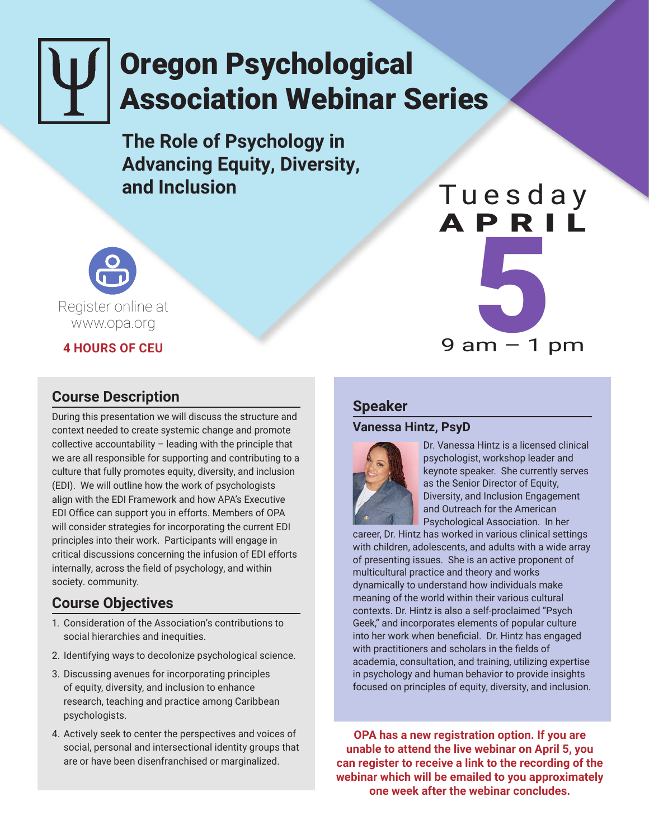# Oregon Psychological Association Webinar Series

**The Role of Psychology in Advancing Equity, Diversity, and Inclusion**



#### **4 HOURS OF CEU**

# **Course Description**

During this presentation we will discuss the structure and context needed to create systemic change and promote collective accountability – leading with the principle that we are all responsible for supporting and contributing to a culture that fully promotes equity, diversity, and inclusion (EDI). We will outline how the work of psychologists align with the EDI Framework and how APA's Executive EDI Office can support you in efforts. Members of OPA will consider strategies for incorporating the current EDI principles into their work. Participants will engage in critical discussions concerning the infusion of EDI efforts internally, across the field of psychology, and within society. community.

# **Course Objectives**

- 1. Consideration of the Association's contributions to social hierarchies and inequities.
- 2. Identifying ways to decolonize psychological science.
- 3. Discussing avenues for incorporating principles of equity, diversity, and inclusion to enhance research, teaching and practice among Caribbean psychologists.
- 4. Actively seek to center the perspectives and voices of social, personal and intersectional identity groups that are or have been disenfranchised or marginalized.

#### **Speaker**

#### **Vanessa Hintz, PsyD**



Dr. Vanessa Hintz is a licensed clinical psychologist, workshop leader and keynote speaker. She currently serves as the Senior Director of Equity, Diversity, and Inclusion Engagement and Outreach for the American Psychological Association. In her

Tuesday

APRIL

 $\begin{array}{c} \begin{array}{c} \text{N} \\ \text{O} \end{array} \\ \text{9 am} - 1 \text{ pm} \end{array}$ 

career, Dr. Hintz has worked in various clinical settings with children, adolescents, and adults with a wide array of presenting issues. She is an active proponent of multicultural practice and theory and works dynamically to understand how individuals make meaning of the world within their various cultural contexts. Dr. Hintz is also a self-proclaimed "Psych Geek," and incorporates elements of popular culture into her work when beneficial. Dr. Hintz has engaged with practitioners and scholars in the fields of academia, consultation, and training, utilizing expertise in psychology and human behavior to provide insights focused on principles of equity, diversity, and inclusion.

**OPA has a new registration option. If you are unable to attend the live webinar on April 5, you can register to receive a link to the recording of the webinar which will be emailed to you approximately one week after the webinar concludes.**